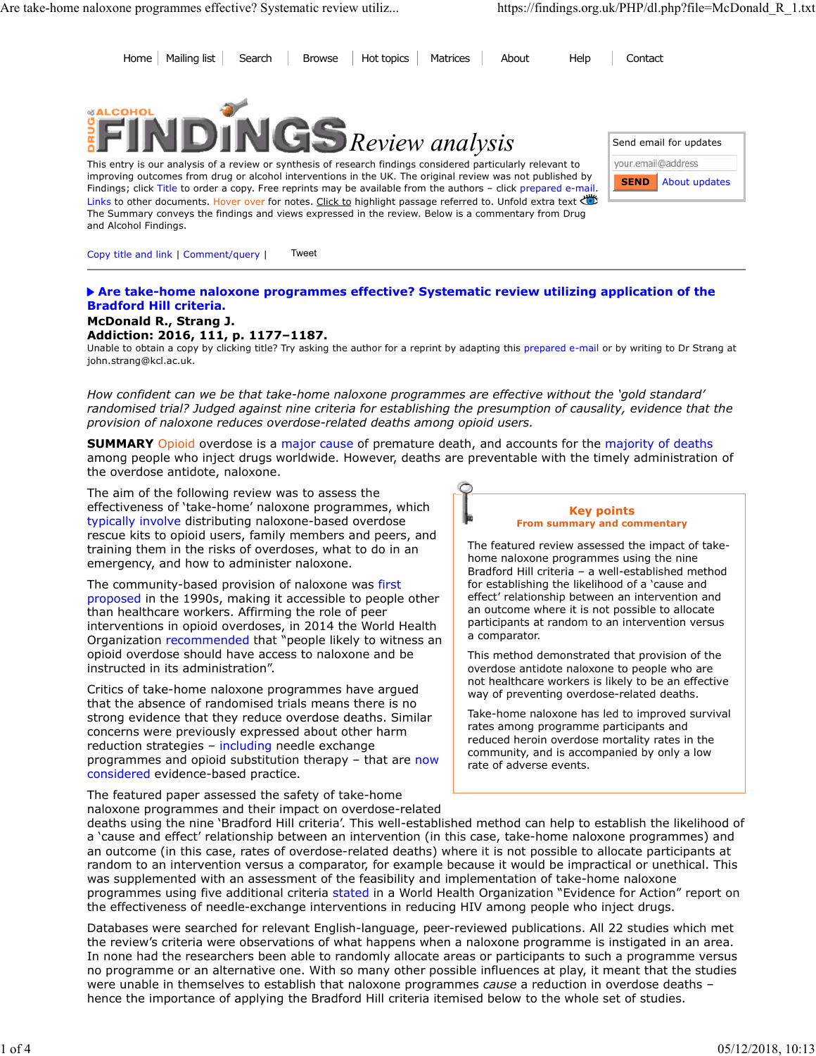Home Mailing list Search Browse Hot topics Matrices About Help Contact



This entry is our analysis of a review or synthesis of research findings considered particularly relevant to improving outcomes from drug or alcohol interventions in the UK. The original review was not published by Findings; click Title to order a copy. Free reprints may be available from the authors - click prepared e-mail Links to other documents. Hover over for notes. Click to highlight passage referred to. Unfold extra text The Summary conveys the findings and views expressed in the review. Below is a commentary from Drug and Alcohol Findings.

| our.email@address            |
|------------------------------|
|                              |
| <b>SEND</b><br>About updates |

Copy title and link | Comment/query | Tweet

## **Are take-home naloxone programmes effective? Systematic review utilizing application of the Bradford Hill criteria.**

**McDonald R., Strang J.**

## **Addiction: 2016, 111, p. 1177–1187.**

Unable to obtain a copy by clicking title? Try asking the author for a reprint by adapting this prepared e-mail or by writing to Dr Strang at john.strang@kcl.ac.uk.

*How confident can we be that take-home naloxone programmes are effective without the 'gold standard' randomised trial? Judged against nine criteria for establishing the presumption of causality, evidence that the provision of naloxone reduces overdose-related deaths among opioid users.*

**SUMMARY** Opioid overdose is a major cause of premature death, and accounts for the majority of deaths among people who inject drugs worldwide. However, deaths are preventable with the timely administration of the overdose antidote, naloxone.

The aim of the following review was to assess the effectiveness of 'take-home' naloxone programmes, which typically involve distributing naloxone-based overdose rescue kits to opioid users, family members and peers, and training them in the risks of overdoses, what to do in an emergency, and how to administer naloxone.

The community-based provision of naloxone was first proposed in the 1990s, making it accessible to people other than healthcare workers. Affirming the role of peer interventions in opioid overdoses, in 2014 the World Health Organization recommended that "people likely to witness an opioid overdose should have access to naloxone and be instructed in its administration".

Critics of take-home naloxone programmes have argued that the absence of randomised trials means there is no strong evidence that they reduce overdose deaths. Similar concerns were previously expressed about other harm reduction strategies – including needle exchange programmes and opioid substitution therapy - that are now considered evidence-based practice.

# **Key points From summary and commentary**

The featured review assessed the impact of takehome naloxone programmes using the nine Bradford Hill criteria – a well-established method for establishing the likelihood of a 'cause and effect' relationship between an intervention and an outcome where it is not possible to allocate participants at random to an intervention versus a comparator.

This method demonstrated that provision of the overdose antidote naloxone to people who are not healthcare workers is likely to be an effective way of preventing overdose-related deaths.

Take-home naloxone has led to improved survival rates among programme participants and reduced heroin overdose mortality rates in the community, and is accompanied by only a low rate of adverse events.

The featured paper assessed the safety of take-home naloxone programmes and their impact on overdose-related

deaths using the nine 'Bradford Hill criteria'. This well-established method can help to establish the likelihood of a 'cause and effect' relationship between an intervention (in this case, take-home naloxone programmes) and an outcome (in this case, rates of overdose-related deaths) where it is not possible to allocate participants at random to an intervention versus a comparator, for example because it would be impractical or unethical. This was supplemented with an assessment of the feasibility and implementation of take-home naloxone programmes using five additional criteria stated in a World Health Organization "Evidence for Action" report on the effectiveness of needle-exchange interventions in reducing HIV among people who inject drugs.

Databases were searched for relevant English-language, peer-reviewed publications. All 22 studies which met the review's criteria were observations of what happens when a naloxone programme is instigated in an area. In none had the researchers been able to randomly allocate areas or participants to such a programme versus no programme or an alternative one. With so many other possible influences at play, it meant that the studies were unable in themselves to establish that naloxone programmes *cause* a reduction in overdose deaths – hence the importance of applying the Bradford Hill criteria itemised below to the whole set of studies.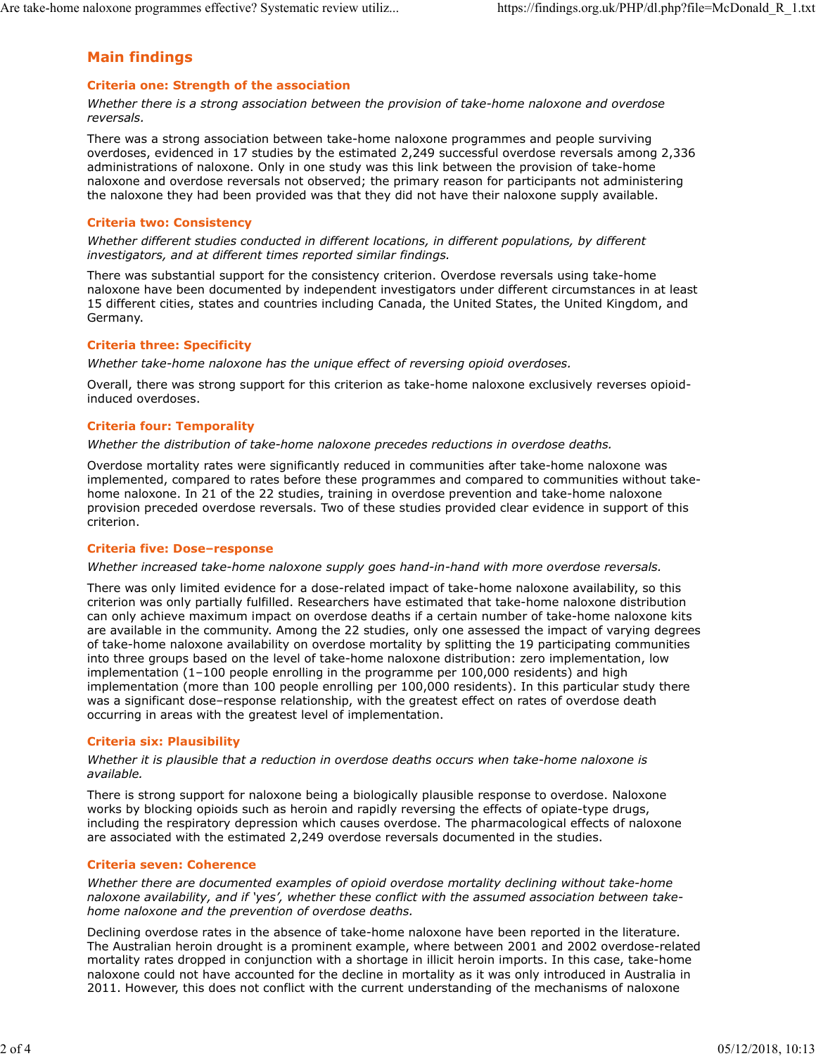## **Main findings**

#### **Criteria one: Strength of the association**

*Whether there is a strong association between the provision of take-home naloxone and overdose reversals.*

There was a strong association between take-home naloxone programmes and people surviving overdoses, evidenced in 17 studies by the estimated 2,249 successful overdose reversals among 2,336 administrations of naloxone. Only in one study was this link between the provision of take-home naloxone and overdose reversals not observed; the primary reason for participants not administering the naloxone they had been provided was that they did not have their naloxone supply available.

#### **Criteria two: Consistency**

*Whether different studies conducted in different locations, in different populations, by different investigators, and at different times reported similar findings.*

There was substantial support for the consistency criterion. Overdose reversals using take-home naloxone have been documented by independent investigators under different circumstances in at least 15 different cities, states and countries including Canada, the United States, the United Kingdom, and Germany.

#### **Criteria three: Specificity**

*Whether take-home naloxone has the unique effect of reversing opioid overdoses.*

Overall, there was strong support for this criterion as take-home naloxone exclusively reverses opioidinduced overdoses.

## **Criteria four: Temporality**

*Whether the distribution of take-home naloxone precedes reductions in overdose deaths.*

Overdose mortality rates were significantly reduced in communities after take-home naloxone was implemented, compared to rates before these programmes and compared to communities without takehome naloxone. In 21 of the 22 studies, training in overdose prevention and take-home naloxone provision preceded overdose reversals. Two of these studies provided clear evidence in support of this criterion.

#### **Criteria five: Dose–response**

*Whether increased take-home naloxone supply goes hand-in-hand with more overdose reversals.*

There was only limited evidence for a dose-related impact of take-home naloxone availability, so this criterion was only partially fulfilled. Researchers have estimated that take-home naloxone distribution can only achieve maximum impact on overdose deaths if a certain number of take-home naloxone kits are available in the community. Among the 22 studies, only one assessed the impact of varying degrees of take-home naloxone availability on overdose mortality by splitting the 19 participating communities into three groups based on the level of take-home naloxone distribution: zero implementation, low implementation (1–100 people enrolling in the programme per 100,000 residents) and high implementation (more than 100 people enrolling per 100,000 residents). In this particular study there was a significant dose–response relationship, with the greatest effect on rates of overdose death occurring in areas with the greatest level of implementation.

#### **Criteria six: Plausibility**

*Whether it is plausible that a reduction in overdose deaths occurs when take-home naloxone is available.*

There is strong support for naloxone being a biologically plausible response to overdose. Naloxone works by blocking opioids such as heroin and rapidly reversing the effects of opiate-type drugs, including the respiratory depression which causes overdose. The pharmacological effects of naloxone are associated with the estimated 2,249 overdose reversals documented in the studies.

#### **Criteria seven: Coherence**

*Whether there are documented examples of opioid overdose mortality declining without take-home naloxone availability, and if 'yes', whether these conflict with the assumed association between takehome naloxone and the prevention of overdose deaths.*

Declining overdose rates in the absence of take-home naloxone have been reported in the literature. The Australian heroin drought is a prominent example, where between 2001 and 2002 overdose-related mortality rates dropped in conjunction with a shortage in illicit heroin imports. In this case, take-home naloxone could not have accounted for the decline in mortality as it was only introduced in Australia in 2011. However, this does not conflict with the current understanding of the mechanisms of naloxone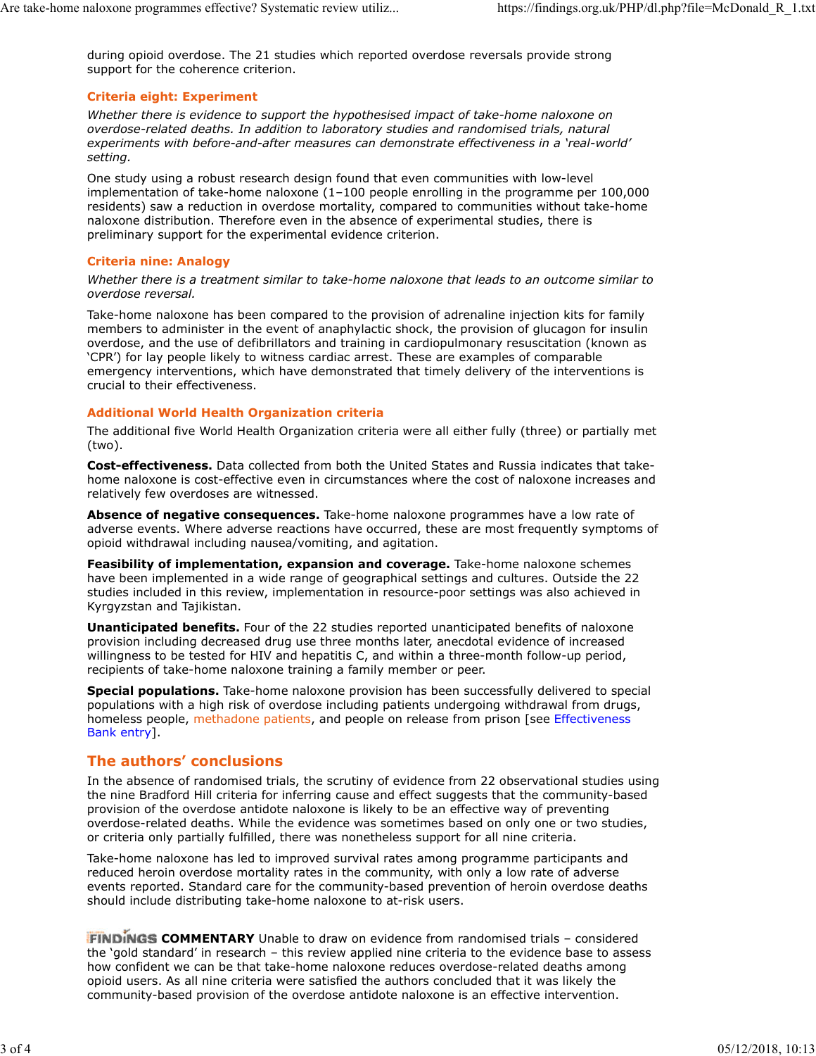during opioid overdose. The 21 studies which reported overdose reversals provide strong support for the coherence criterion.

## **Criteria eight: Experiment**

*Whether there is evidence to support the hypothesised impact of take-home naloxone on overdose-related deaths. In addition to laboratory studies and randomised trials, natural experiments with before-and-after measures can demonstrate effectiveness in a 'real-world' setting.*

One study using a robust research design found that even communities with low-level implementation of take-home naloxone (1–100 people enrolling in the programme per 100,000 residents) saw a reduction in overdose mortality, compared to communities without take-home naloxone distribution. Therefore even in the absence of experimental studies, there is preliminary support for the experimental evidence criterion.

#### **Criteria nine: Analogy**

*Whether there is a treatment similar to take-home naloxone that leads to an outcome similar to overdose reversal.*

Take-home naloxone has been compared to the provision of adrenaline injection kits for family members to administer in the event of anaphylactic shock, the provision of glucagon for insulin overdose, and the use of defibrillators and training in cardiopulmonary resuscitation (known as 'CPR') for lay people likely to witness cardiac arrest. These are examples of comparable emergency interventions, which have demonstrated that timely delivery of the interventions is crucial to their effectiveness.

#### **Additional World Health Organization criteria**

The additional five World Health Organization criteria were all either fully (three) or partially met (two).

**Cost-effectiveness.** Data collected from both the United States and Russia indicates that takehome naloxone is cost-effective even in circumstances where the cost of naloxone increases and relatively few overdoses are witnessed.

**Absence of negative consequences.** Take-home naloxone programmes have a low rate of adverse events. Where adverse reactions have occurred, these are most frequently symptoms of opioid withdrawal including nausea/vomiting, and agitation.

**Feasibility of implementation, expansion and coverage.** Take-home naloxone schemes have been implemented in a wide range of geographical settings and cultures. Outside the 22 studies included in this review, implementation in resource-poor settings was also achieved in Kyrgyzstan and Tajikistan.

**Unanticipated benefits.** Four of the 22 studies reported unanticipated benefits of naloxone provision including decreased drug use three months later, anecdotal evidence of increased willingness to be tested for HIV and hepatitis C, and within a three-month follow-up period, recipients of take-home naloxone training a family member or peer.

**Special populations.** Take-home naloxone provision has been successfully delivered to special populations with a high risk of overdose including patients undergoing withdrawal from drugs, homeless people, methadone patients, and people on release from prison [see Effectiveness Bank entry].

## **The authors' conclusions**

In the absence of randomised trials, the scrutiny of evidence from 22 observational studies using the nine Bradford Hill criteria for inferring cause and effect suggests that the community-based provision of the overdose antidote naloxone is likely to be an effective way of preventing overdose-related deaths. While the evidence was sometimes based on only one or two studies, or criteria only partially fulfilled, there was nonetheless support for all nine criteria.

Take-home naloxone has led to improved survival rates among programme participants and reduced heroin overdose mortality rates in the community, with only a low rate of adverse events reported. Standard care for the community-based prevention of heroin overdose deaths should include distributing take-home naloxone to at-risk users.

**FINDINGS COMMENTARY** Unable to draw on evidence from randomised trials – considered the 'gold standard' in research – this review applied nine criteria to the evidence base to assess how confident we can be that take-home naloxone reduces overdose-related deaths among opioid users. As all nine criteria were satisfied the authors concluded that it was likely the community-based provision of the overdose antidote naloxone is an effective intervention.